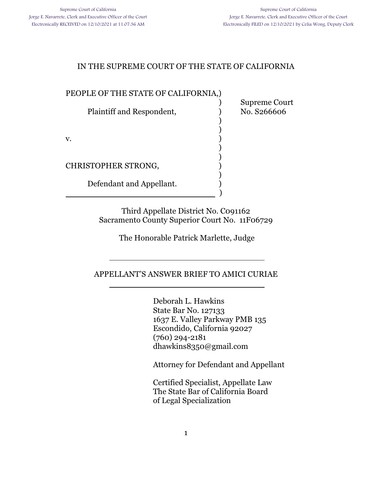) Supreme Court

) )

) )

)

## IN THE SUPREME COURT OF THE STATE OF CALIFORNIA

#### PEOPLE OF THE STATE OF CALIFORNIA,)

Plaintiff and Respondent,  $\qquad \qquad$  No. S266606

 $\mathbf v.$  )

CHRISTOPHER STRONG, )

l

l

Defendant and Appellant. )

) and the contract of  $\overline{\phantom{a}}$  (  $\overline{\phantom{a}}$  )

Third Appellate District No. C091162 Sacramento County Superior Court No. 11F06729

The Honorable Patrick Marlette, Judge

APPELLANT'S ANSWER BRIEF TO AMICI CURIAE

Deborah L. Hawkins State Bar No. 127133 1637 E. Valley Parkway PMB 135 Escondido, California 92027 (760) 294-2181 dhawkins8350@gmail.com

Attorney for Defendant and Appellant

Certified Specialist, Appellate Law The State Bar of California Board of Legal Specialization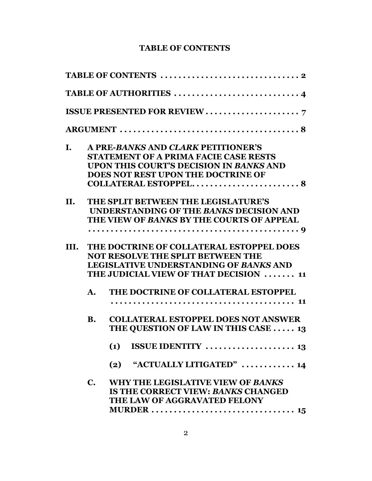## **TABLE OF CONTENTS**

| I.   |                | A PRE-BANKS AND CLARK PETITIONER'S                           |
|------|----------------|--------------------------------------------------------------|
|      |                | <b>STATEMENT OF A PRIMA FACIE CASE RESTS</b>                 |
|      |                | UPON THIS COURT'S DECISION IN BANKS AND                      |
|      |                | DOES NOT REST UPON THE DOCTRINE OF                           |
|      |                |                                                              |
| II.  |                | THE SPLIT BETWEEN THE LEGISLATURE'S                          |
|      |                | UNDERSTANDING OF THE BANKS DECISION AND                      |
|      |                | THE VIEW OF BANKS BY THE COURTS OF APPEAL                    |
|      |                |                                                              |
| III. |                | THE DOCTRINE OF COLLATERAL ESTOPPEL DOES                     |
|      |                | <b>NOT RESOLVE THE SPLIT BETWEEN THE</b>                     |
|      |                | <b>LEGISLATIVE UNDERSTANDING OF BANKS AND</b>                |
|      |                | THE JUDICIAL VIEW OF THAT DECISION  11                       |
|      | $\mathbf{A}$ . | THE DOCTRINE OF COLLATERAL ESTOPPEL                          |
|      |                |                                                              |
|      | <b>B.</b>      | <b>COLLATERAL ESTOPPEL DOES NOT ANSWER</b>                   |
|      |                | THE QUESTION OF LAW IN THIS CASE  13                         |
|      |                | (1)                                                          |
|      |                | "ACTUALLY LITIGATED" $\ldots \ldots \ldots \ldots$ 14<br>(2) |
|      | $\mathbf{C}$ . | WHY THE LEGISLATIVE VIEW OF BANKS                            |
|      |                | <b>IS THE CORRECT VIEW: BANKS CHANGED</b>                    |
|      |                | THE LAW OF AGGRAVATED FELONY                                 |
|      |                |                                                              |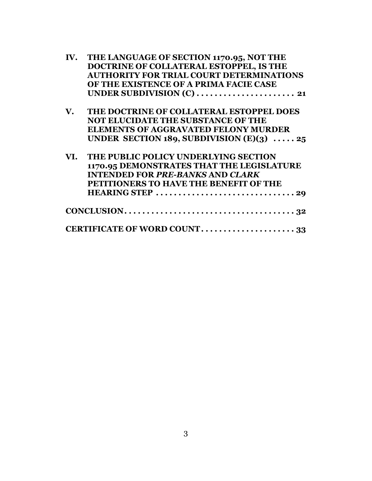| IV.                    | THE LANGUAGE OF SECTION 1170.95, NOT THE        |
|------------------------|-------------------------------------------------|
|                        | DOCTRINE OF COLLATERAL ESTOPPEL, IS THE         |
|                        | <b>AUTHORITY FOR TRIAL COURT DETERMINATIONS</b> |
|                        | OF THE EXISTENCE OF A PRIMA FACIE CASE          |
|                        |                                                 |
| $\mathbf{V}_{\bullet}$ | THE DOCTRINE OF COLLATERAL ESTOPPEL DOES        |
|                        | NOT ELUCIDATE THE SUBSTANCE OF THE              |
|                        | <b>ELEMENTS OF AGGRAVATED FELONY MURDER</b>     |
|                        | UNDER SECTION 189, SUBDIVISION $(E)(3)$ 25      |
| VI.                    | THE PUBLIC POLICY UNDERLYING SECTION            |
|                        | 1170.95 DEMONSTRATES THAT THE LEGISLATURE       |
|                        | <b>INTENDED FOR PRE-BANKS AND CLARK</b>         |
|                        | PETITIONERS TO HAVE THE BENEFIT OF THE          |
|                        |                                                 |
|                        |                                                 |
|                        |                                                 |
|                        | CERTIFICATE OF WORD COUNT33                     |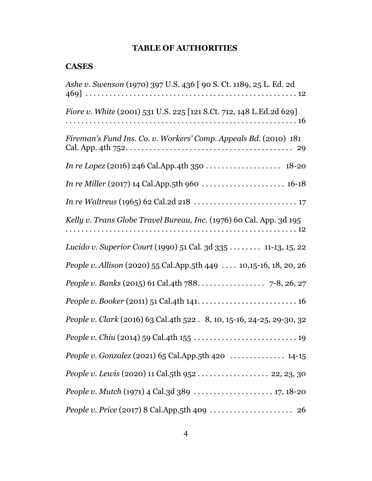# **TABLE OF AUTHORITIES**

## **CASES**

| Ashe v. Swenson (1970) 397 U.S. 436 [ 90 S. Ct. 1189, 25 L. Ed. 2d         |
|----------------------------------------------------------------------------|
| <i>Fiore v. White</i> (2001) 531 U.S. 225 [121 S.Ct. 712, 148 L.Ed.2d 629] |
| Fireman's Fund Ins. Co. v. Workers' Comp. Appeals Bd. (2010) 181           |
|                                                                            |
|                                                                            |
|                                                                            |
| Kelly v. Trans Globe Travel Bureau, Inc. (1976) 60 Cal. App. 3d 195        |
| Lucido v. Superior Court (1990) 51 Cal. 3d 335 11-13, 15, 22               |
| <i>People v. Allison</i> (2020) 55 Cal.App.5th 449  10,15-16, 18, 20, 26   |
|                                                                            |
|                                                                            |
| People v. Clark (2016) 63 Cal.4th 522 . 8, 10, 15-16, 24-25, 29-30, 32     |
|                                                                            |
|                                                                            |
| People v. Lewis (2020) 11 Cal.5th 952  22, 23, 30                          |
|                                                                            |
|                                                                            |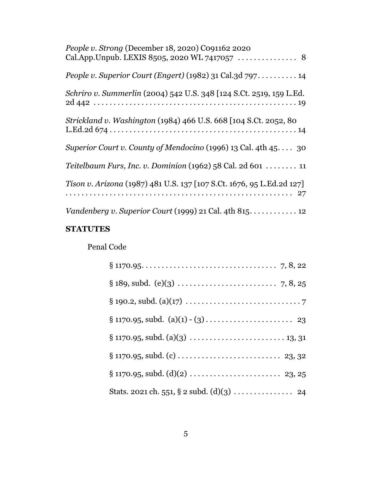| People v. Strong (December 18, 2020) C091162 2020                     |
|-----------------------------------------------------------------------|
| People v. Superior Court (Engert) (1982) 31 Cal. 3d $797$ 14          |
| Schriro v. Summerlin (2004) 542 U.S. 348 [124 S.Ct. 2519, 159 L.Ed.   |
| Strickland v. Washington (1984) 466 U.S. 668 [104 S.Ct. 2052, 80      |
| Superior Court v. County of Mendocino (1996) 13 Cal. 4th $45$ 30      |
| Teitelbaum Furs, Inc. v. Dominion (1962) 58 Cal. 2d 601 $\dots$ 11    |
| Tison v. Arizona (1987) 481 U.S. 137 [107 S.Ct. 1676, 95 L.Ed.2d 127] |
|                                                                       |

# **STATUTES**

# Penal Code

| Stats. 2021 ch. 551, § 2 subd. (d)(3) 24 |
|------------------------------------------|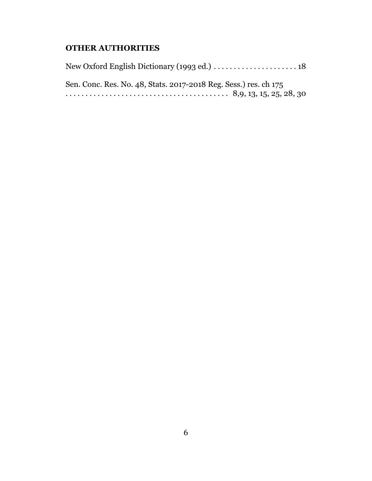## **OTHER AUTHORITIES**

New Oxford English Dictionary (1993 ed.) . . . . . . . . . . . . . . . . . . . . . 18 Sen. Conc. Res. No. 48, Stats. 2017-2018 Reg. Sess.) res. ch 175 . . . . . . . . . . . . . . . . . . . . . . . . . . . . . . . . . . . . . . . . . 8,9, 13, 15, 25, 28, 30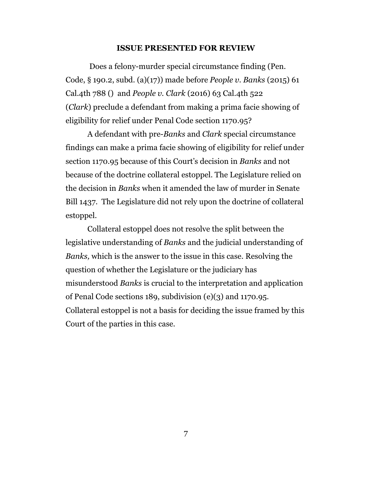#### **ISSUE PRESENTED FOR REVIEW**

 Does a felony-murder special circumstance finding (Pen. Code, § 190.2, subd. (a)(17)) made before *People v. Banks* (2015) 61 Cal.4th 788 () and *People v. Clark* (2016) 63 Cal.4th 522 (*Clark*) preclude a defendant from making a prima facie showing of eligibility for relief under Penal Code section 1170.95?

A defendant with pre-*Banks* and *Clark* special circumstance findings can make a prima facie showing of eligibility for relief under section 1170.95 because of this Court's decision in *Banks* and not because of the doctrine collateral estoppel. The Legislature relied on the decision in *Banks* when it amended the law of murder in Senate Bill 1437. The Legislature did not rely upon the doctrine of collateral estoppel.

Collateral estoppel does not resolve the split between the legislative understanding of *Banks* and the judicial understanding of *Banks,* which is the answer to the issue in this case. Resolving the question of whether the Legislature or the judiciary has misunderstood *Banks* is crucial to the interpretation and application of Penal Code sections 189, subdivision (e)(3) and 1170.95. Collateral estoppel is not a basis for deciding the issue framed by this Court of the parties in this case.

7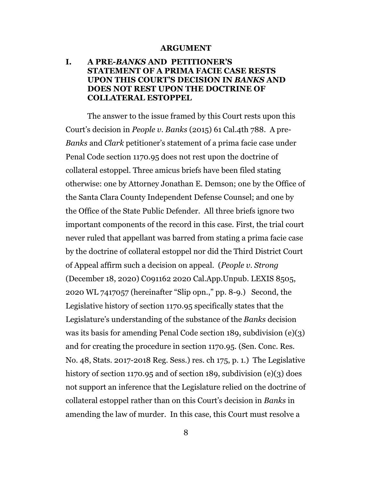#### **ARGUMENT**

## **I. A PRE-***BANKS* **AND PETITIONER'S STATEMENT OF A PRIMA FACIE CASE RESTS UPON THIS COURT'S DECISION IN** *BANKS* **AND DOES NOT REST UPON THE DOCTRINE OF COLLATERAL ESTOPPEL**

The answer to the issue framed by this Court rests upon this Court's decision in *People v. Banks* (2015) 61 Cal.4th 788. A pre-*Banks* and *Clark* petitioner's statement of a prima facie case under Penal Code section 1170.95 does not rest upon the doctrine of collateral estoppel. Three amicus briefs have been filed stating otherwise: one by Attorney Jonathan E. Demson; one by the Office of the Santa Clara County Independent Defense Counsel; and one by the Office of the State Public Defender. All three briefs ignore two important components of the record in this case. First, the trial court never ruled that appellant was barred from stating a prima facie case by the doctrine of collateral estoppel nor did the Third District Court of Appeal affirm such a decision on appeal. (*People v. Strong* (December 18, 2020) C091162 2020 Cal.App.Unpub. LEXIS 8505, 2020 WL 7417057 (hereinafter "Slip opn.," pp. 8-9.) Second, the Legislative history of section 1170.95 specifically states that the Legislature's understanding of the substance of the *Banks* decision was its basis for amending Penal Code section 189, subdivision (e)(3) and for creating the procedure in section 1170.95. (Sen. Conc. Res. No. 48, Stats. 2017-2018 Reg. Sess.) res. ch 175, p. 1.) The Legislative history of section 1170.95 and of section 189, subdivision (e)(3) does not support an inference that the Legislature relied on the doctrine of collateral estoppel rather than on this Court's decision in *Banks* in amending the law of murder. In this case, this Court must resolve a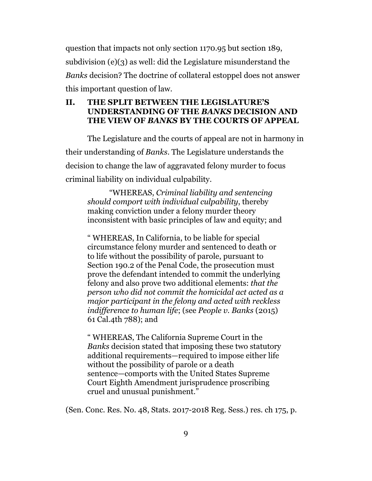question that impacts not only section 1170.95 but section 189, subdivision (e)(3) as well: did the Legislature misunderstand the *Banks* decision? The doctrine of collateral estoppel does not answer this important question of law.

## **II. THE SPLIT BETWEEN THE LEGISLATURE'S UNDERSTANDING OF THE** *BANKS* **DECISION AND THE VIEW OF** *BANKS* **BY THE COURTS OF APPEAL**

The Legislature and the courts of appeal are not in harmony in their understanding of *Banks*. The Legislature understands the decision to change the law of aggravated felony murder to focus criminal liability on individual culpability.

"WHEREAS, *Criminal liability and sentencing should comport with individual culpability*, thereby making conviction under a felony murder theory inconsistent with basic principles of law and equity; and

" WHEREAS, In California, to be liable for special circumstance felony murder and sentenced to death or to life without the possibility of parole, pursuant to Section 190.2 of the Penal Code, the prosecution must prove the defendant intended to commit the underlying felony and also prove two additional elements: *that the person who did not commit the homicidal act acted as a major participant in the felony and acted with reckless indifference to human life*; (see *People v. Banks* (2015) 61 Cal.4th 788); and

" WHEREAS, The California Supreme Court in the *Banks* decision stated that imposing these two statutory additional requirements—required to impose either life without the possibility of parole or a death sentence—comports with the United States Supreme Court Eighth Amendment jurisprudence proscribing cruel and unusual punishment."

(Sen. Conc. Res. No. 48, Stats. 2017-2018 Reg. Sess.) res. ch 175, p.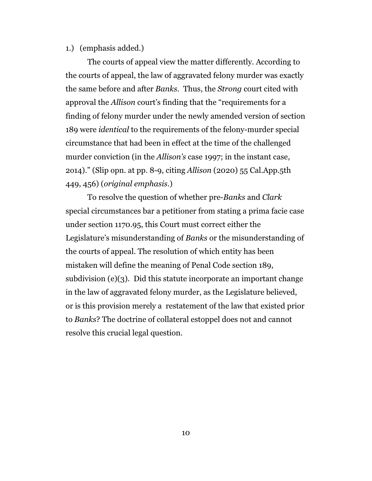#### 1.) (emphasis added.)

The courts of appeal view the matter differently. According to the courts of appeal, the law of aggravated felony murder was exactly the same before and after *Banks.* Thus, the *Strong* court cited with approval the *Allison* court's finding that the "requirements for a finding of felony murder under the newly amended version of section 189 were *identical* to the requirements of the felony-murder special circumstance that had been in effect at the time of the challenged murder conviction (in the *Allison's* case 1997; in the instant case, 2o14)." (Slip opn. at pp. 8-9, citing *Allison* (2020) 55 Cal.App.5th 449, 456) (*original emphasis.*)

To resolve the question of whether pre-*Banks* and *Clark* special circumstances bar a petitioner from stating a prima facie case under section 1170.95, this Court must correct either the Legislature's misunderstanding of *Banks* or the misunderstanding of the courts of appeal. The resolution of which entity has been mistaken will define the meaning of Penal Code section 189, subdivision (e)(3). Did this statute incorporate an important change in the law of aggravated felony murder, as the Legislature believed, or is this provision merely a restatement of the law that existed prior to *Banks*? The doctrine of collateral estoppel does not and cannot resolve this crucial legal question.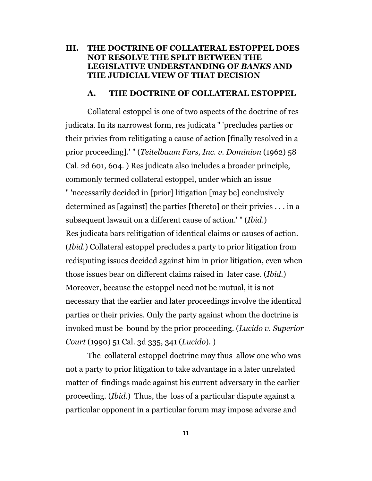#### **III. THE DOCTRINE OF COLLATERAL ESTOPPEL DOES NOT RESOLVE THE SPLIT BETWEEN THE LEGISLATIVE UNDERSTANDING OF** *BANKS* **AND THE JUDICIAL VIEW OF THAT DECISION**

#### **A. THE DOCTRINE OF COLLATERAL ESTOPPEL**

Collateral estoppel is one of two aspects of the doctrine of res judicata. In its narrowest form, res judicata " 'precludes parties or their privies from relitigating a cause of action [finally resolved in a prior proceeding].' " (*Teitelbaum Furs, Inc. v. Dominion* (1962) 58 Cal. 2d 601, 604. ) Res judicata also includes a broader principle, commonly termed collateral estoppel, under which an issue " 'necessarily decided in [prior] litigation [may be] conclusively determined as [against] the parties [thereto] or their privies . . . in a subsequent lawsuit on a different cause of action.' " (*Ibid*.) Res judicata bars relitigation of identical claims or causes of action. (*Ibid*.) Collateral estoppel precludes a party to prior litigation from redisputing issues decided against him in prior litigation, even when those issues bear on different claims raised in later case. (*Ibid*.) Moreover, because the estoppel need not be mutual, it is not necessary that the earlier and later proceedings involve the identical parties or their privies. Only the party against whom the doctrine is invoked must be bound by the prior proceeding. (*Lucido v. Superior Court* (1990) 51 Cal. 3d 335, 341 (*Lucido*). )

The collateral estoppel doctrine may thus allow one who was not a party to prior litigation to take advantage in a later unrelated matter of findings made against his current adversary in the earlier proceeding. (*Ibid*.) Thus, the loss of a particular dispute against a particular opponent in a particular forum may impose adverse and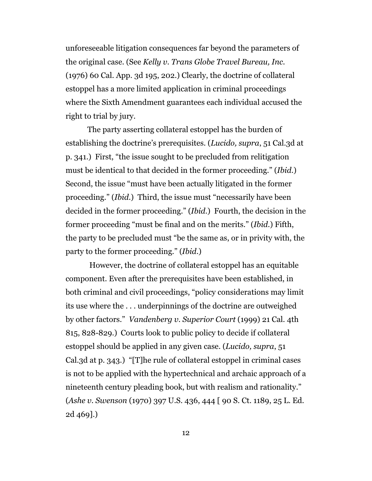unforeseeable litigation consequences far beyond the parameters of the original case. (See *Kelly v. Trans Globe Travel Bureau, Inc.* (1976) 60 Cal. App. 3d 195, 202.) Clearly, the doctrine of collateral estoppel has a more limited application in criminal proceedings where the Sixth Amendment guarantees each individual accused the right to trial by jury.

The party asserting collateral estoppel has the burden of establishing the doctrine's prerequisites. (*Lucido, supra*, 51 Cal.3d at p. 341.) First, "the issue sought to be precluded from relitigation must be identical to that decided in the former proceeding." (*Ibid*.) Second, the issue "must have been actually litigated in the former proceeding." (*Ibid*.) Third, the issue must "necessarily have been decided in the former proceeding." (*Ibid*.) Fourth, the decision in the former proceeding "must be final and on the merits." (*Ibid*.) Fifth, the party to be precluded must "be the same as, or in privity with, the party to the former proceeding." (*Ibid*.)

 However, the doctrine of collateral estoppel has an equitable component. Even after the prerequisites have been established, in both criminal and civil proceedings, "policy considerations may limit its use where the . . . underpinnings of the doctrine are outweighed by other factors." *Vandenberg v. Superior Court* (1999) 21 Cal. 4th 815, 828-829.) Courts look to public policy to decide if collateral estoppel should be applied in any given case. (*Lucido, supra*, 51 Cal.3d at p. 343.) "[T]he rule of collateral estoppel in criminal cases is not to be applied with the hypertechnical and archaic approach of a nineteenth century pleading book, but with realism and rationality." (*Ashe v. Swenson* (1970) 397 U.S. 436, 444 [ 90 S. Ct. 1189, 25 L. Ed. 2d 469].)

12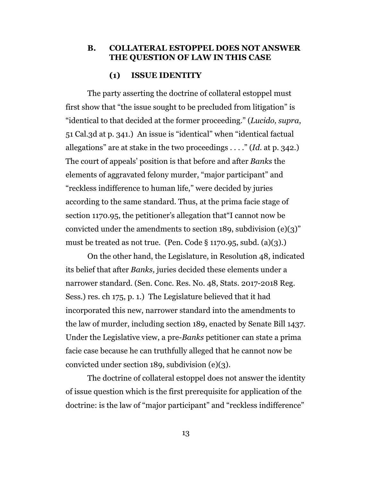#### **B. COLLATERAL ESTOPPEL DOES NOT ANSWER THE QUESTION OF LAW IN THIS CASE**

#### **(1) ISSUE IDENTITY**

The party asserting the doctrine of collateral estoppel must first show that "the issue sought to be precluded from litigation" is "identical to that decided at the former proceeding." (*Lucido, supra*, 51 Cal.3d at p. 341.) An issue is "identical" when "identical factual allegations" are at stake in the two proceedings . . . ." (*Id*. at p. 342.) The court of appeals' position is that before and after *Banks* the elements of aggravated felony murder, "major participant" and "reckless indifference to human life," were decided by juries according to the same standard. Thus, at the prima facie stage of section 1170.95, the petitioner's allegation that"I cannot now be convicted under the amendments to section 189, subdivision (e)(3)" must be treated as not true. (Pen. Code  $\S 1170.95$ , subd. (a)(3).)

On the other hand, the Legislature, in Resolution 48, indicated its belief that after *Banks,* juries decided these elements under a narrower standard. (Sen. Conc. Res. No. 48, Stats. 2017-2018 Reg. Sess.) res. ch 175, p. 1.) The Legislature believed that it had incorporated this new, narrower standard into the amendments to the law of murder, including section 189, enacted by Senate Bill 1437. Under the Legislative view, a pre-*Banks* petitioner can state a prima facie case because he can truthfully alleged that he cannot now be convicted under section 189, subdivision (e)(3).

The doctrine of collateral estoppel does not answer the identity of issue question which is the first prerequisite for application of the doctrine: is the law of "major participant" and "reckless indifference"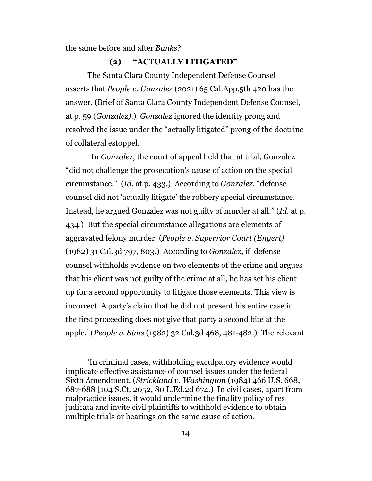the same before and after *Banks*?

#### **(2) "ACTUALLY LITIGATED"**

The Santa Clara County Independent Defense Counsel asserts that *People v. Gonzalez* (2021) 65 Cal.App.5th 420 has the answer. (Brief of Santa Clara County Independent Defense Counsel, at p. 59 (*Gonzalez)*.) *Gonzalez* ignored the identity prong and resolved the issue under the "actually litigated" prong of the doctrine of collateral estoppel.

 In *Gonzalez*, the court of appeal held that at trial, Gonzalez "did not challenge the prosecution's cause of action on the special circumstance." (*Id*. at p. 433.) According to *Gonzalez,* "defense counsel did not 'actually litigate' the robbery special circumstance. Instead, he argued Gonzalez was not guilty of murder at all." (*Id.* at p. 434.) But the special circumstance allegations are elements of aggravated felony murder. (*People v. Superrior Court (Engert)* (1982) 31 Cal.3d 797, 803.) According to *Gonzalez*, if defense counsel withholds evidence on two elements of the crime and argues that his client was not guilty of the crime at all, he has set his client up for a second opportunity to litigate those elements. This view is incorrect. A party's claim that he did not present his entire case in the first proceeding does not give that party a second bite at the apple.<sup>1</sup> (*People v. Sims* (1982) 32 Cal.3d 468, 481-482.) The relevant

<sup>1</sup> In criminal cases, withholding exculpatory evidence would implicate effective assistance of counsel issues under the federal Sixth Amendment. (*Strickland v. Washington* (1984) 466 U.S. 668, 687-688 [104 S.Ct. 2052, 80 L.Ed.2d 674.) In civil cases, apart from malpractice issues, it would undermine the finality policy of res judicata and invite civil plaintiffs to withhold evidence to obtain multiple trials or hearings on the same cause of action.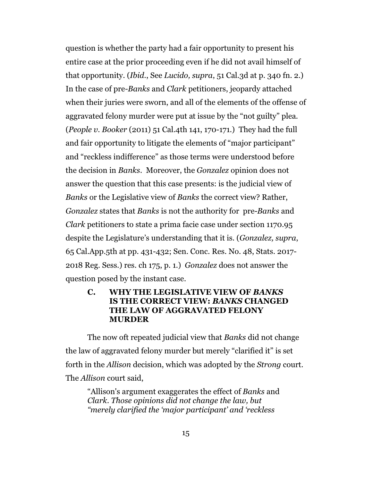question is whether the party had a fair opportunity to present his entire case at the prior proceeding even if he did not avail himself of that opportunity. (*Ibid*., See *Lucido, supra*, 51 Cal.3d at p. 340 fn. 2.) In the case of pre*-Banks* and *Clark* petitioners, jeopardy attached when their juries were sworn, and all of the elements of the offense of aggravated felony murder were put at issue by the "not guilty" plea. (*People v. Booker* (2011) 51 Cal.4th 141, 170-171.) They had the full and fair opportunity to litigate the elements of "major participant" and "reckless indifference" as those terms were understood before the decision in *Banks.* Moreover, the *Gonzalez* opinion does not answer the question that this case presents: is the judicial view of *Banks* or the Legislative view of *Banks* the correct view? Rather, *Gonzalez* states that *Banks* is not the authority for pre-*Banks* and *Clark* petitioners to state a prima facie case under section 1170.95 despite the Legislature's understanding that it is. (*Gonzalez, supra*, 65 Cal.App.5th at pp. 431-432; Sen. Conc. Res. No. 48, Stats. 2017- 2018 Reg. Sess.) res. ch 175, p. 1.) *Gonzalez* does not answer the question posed by the instant case.

#### **C. WHY THE LEGISLATIVE VIEW OF** *BANKS* **IS THE CORRECT VIEW:** *BANKS* **CHANGED THE LAW OF AGGRAVATED FELONY MURDER**

The now oft repeated judicial view that *Banks* did not change the law of aggravated felony murder but merely "clarified it" is set forth in the *Allison* decision, which was adopted by the *Strong* court. The *Allison* court said,

"Allison's argument exaggerates the effect of *Banks* and *Clark*. *Those opinions did not change the law, but "merely clarified the 'major participant' and 'reckless*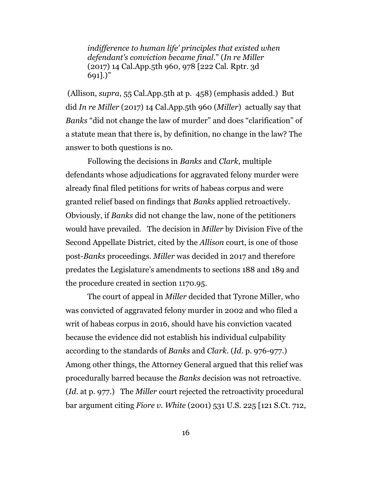*indifference to human life' principles that existed when defendant's conviction became final*." (*In re Miller* (2017) 14 Cal.App.5th 960, 978 [222 Cal. Rptr. 3d 691].)"

 (Allison, *supra*, 55 Cal.App.5th at p. 458) (emphasis added.) But did *In re Miller* (2017) 14 Cal.App.5th 960 (*Miller*) actually say that *Banks* "did not change the law of murder" and does "clarification" of a statute mean that there is, by definition, no change in the law? The answer to both questions is no.

Following the decisions in *Banks* and *Clark,* multiple defendants whose adjudications for aggravated felony murder were already final filed petitions for writs of habeas corpus and were granted relief based on findings that *Banks* applied retroactively. Obviously, if *Banks* did not change the law, none of the petitioners would have prevailed. The decision in *Miller* by Division Five of the Second Appellate District, cited by the *Allison* court, is one of those post-*Banks* proceedings. *Miller* was decided in 2017 and therefore predates the Legislature's amendments to sections 188 and 189 and the procedure created in section 1170.95.

The court of appeal in *Miller* decided that Tyrone Miller, who was convicted of aggravated felony murder in 2002 and who filed a writ of habeas corpus in 2016, should have his conviction vacated because the evidence did not establish his individual culpability according to the standards of *Banks* and *Clark*. (*Id*. p. 976-977.) Among other things, the Attorney General argued that this relief was procedurally barred because the *Banks* decision was not retroactive. (*Id*. at p. 977.) The *Miller* court rejected the retroactivity procedural bar argument citing *Fiore v. White* (2001) 531 U.S. 225 [121 S.Ct. 712,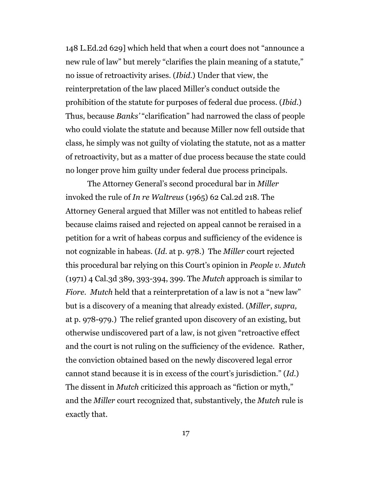148 L.Ed.2d 629] which held that when a court does not "announce a new rule of law" but merely "clarifies the plain meaning of a statute," no issue of retroactivity arises. (*Ibid*.) Under that view, the reinterpretation of the law placed Miller's conduct outside the prohibition of the statute for purposes of federal due process. (*Ibid*.) Thus, because *Banks'* "clarification" had narrowed the class of people who could violate the statute and because Miller now fell outside that class, he simply was not guilty of violating the statute, not as a matter of retroactivity, but as a matter of due process because the state could no longer prove him guilty under federal due process principals.

The Attorney General's second procedural bar in *Miller* invoked the rule of *In re Waltreus* (1965) 62 Cal.2d 218. The Attorney General argued that Miller was not entitled to habeas relief because claims raised and rejected on appeal cannot be reraised in a petition for a writ of habeas corpus and sufficiency of the evidence is not cognizable in habeas. (*Id*. at p. 978.) The *Miller* court rejected this procedural bar relying on this Court's opinion in *People v. Mutch* (1971) 4 Cal.3d 389, 393-394, 399. The *Mutch* approach is similar to *Fiore*. *Mutch* held that a reinterpretation of a law is not a "new law" but is a discovery of a meaning that already existed. (*Miller*, *supra,*  at p. 978-979.) The relief granted upon discovery of an existing, but otherwise undiscovered part of a law, is not given "retroactive effect and the court is not ruling on the sufficiency of the evidence. Rather, the conviction obtained based on the newly discovered legal error cannot stand because it is in excess of the court's jurisdiction." (*Id*.) The dissent in *Mutch* criticized this approach as "fiction or myth," and the *Miller* court recognized that, substantively, the *Mutch* rule is exactly that.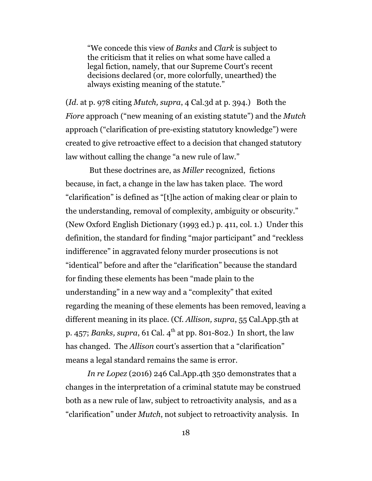"We concede this view of *Banks* and *Clark* is subject to the criticism that it relies on what some have called a legal fiction, namely, that our Supreme Court's recent decisions declared (or, more colorfully, unearthed) the always existing meaning of the statute."

(*Id*. at p. 978 citing *Mutch, supra*, 4 Cal.3d at p. 394.) Both the *Fiore* approach ("new meaning of an existing statute") and the *Mutch* approach ("clarification of pre-existing statutory knowledge") were created to give retroactive effect to a decision that changed statutory law without calling the change "a new rule of law."

 But these doctrines are, as *Miller* recognized, fictions because, in fact, a change in the law has taken place. The word "clarification" is defined as "[t]he action of making clear or plain to the understanding, removal of complexity, ambiguity or obscurity." (New Oxford English Dictionary (1993 ed.) p. 411, col. 1.) Under this definition, the standard for finding "major participant" and "reckless indifference" in aggravated felony murder prosecutions is not "identical" before and after the "clarification" because the standard for finding these elements has been "made plain to the understanding" in a new way and a "complexity" that exited regarding the meaning of these elements has been removed, leaving a different meaning in its place. (Cf. *Allison, supra*, 55 Cal.App.5th at p. 457; *Banks, supra,* 61 Cal. 4<sup>th</sup> at pp. 801-802.) In short, the law has changed. The *Allison* court's assertion that a "clarification" means a legal standard remains the same is error.

*In re Lopez* (2016) 246 Cal.App.4th 350 demonstrates that a changes in the interpretation of a criminal statute may be construed both as a new rule of law, subject to retroactivity analysis, and as a "clarification" under *Mutch*, not subject to retroactivity analysis. In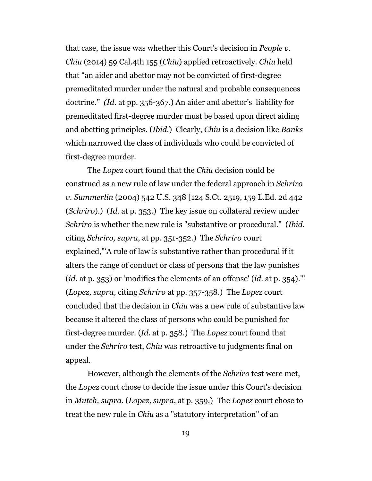that case, the issue was whether this Court's decision in *People v. Chiu* (2014) 59 Cal.4th 155 (*Chiu*) applied retroactively. *Chiu* held that "an aider and abettor may not be convicted of first-degree premeditated murder under the natural and probable consequences doctrine." *(Id*. at pp. 356-367.) An aider and abettor's liability for premeditated first-degree murder must be based upon direct aiding and abetting principles. (*Ibid*.) Clearly, *Chiu* is a decision like *Banks* which narrowed the class of individuals who could be convicted of first-degree murder.

The *Lopez* court found that the *Chiu* decision could be construed as a new rule of law under the federal approach in *Schriro v. Summerlin* (2004) 542 U.S. 348 [124 S.Ct. 2519, 159 L.Ed. 2d 442 (*Schriro*).) (*Id*. at p. 353.) The key issue on collateral review under *Schriro* is whether the new rule is "substantive or procedural." (*Ibid.* citing *Schriro, supra*, at pp. 351-352.) The *Schriro* court explained,"'A rule of law is substantive rather than procedural if it alters the range of conduct or class of persons that the law punishes (*id.* at p. 353) or 'modifies the elements of an offense' (*id.* at p. 354).'" (*Lopez, supra*, citing *Schriro* at pp. 357-358.) The *Lopez* court concluded that the decision in *Chiu* was a new rule of substantive law because it altered the class of persons who could be punished for first-degree murder. (*Id*. at p. 358.) The *Lopez* court found that under the *Schriro* test, *Chiu* was retroactive to judgments final on appeal.

However, although the elements of the *Schriro* test were met, the *Lopez* court chose to decide the issue under this Court's decision in *Mutch, supra*. (*Lopez, supra*, at p. 359.) The *Lopez* court chose to treat the new rule in *Chiu* as a "statutory interpretation" of an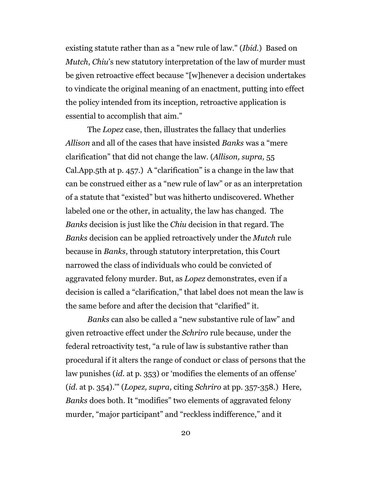existing statute rather than as a "new rule of law." (*Ibid.*) Based on *Mutch*, *Chiu*'s new statutory interpretation of the law of murder must be given retroactive effect because "[w]henever a decision undertakes to vindicate the original meaning of an enactment, putting into effect the policy intended from its inception, retroactive application is essential to accomplish that aim."

The *Lopez* case, then, illustrates the fallacy that underlies *Allison* and all of the cases that have insisted *Banks* was a "mere clarification" that did not change the law. (*Allison, supra,* 55 Cal.App.5th at p. 457.) A "clarification" is a change in the law that can be construed either as a "new rule of law" or as an interpretation of a statute that "existed" but was hitherto undiscovered. Whether labeled one or the other, in actuality, the law has changed. The *Banks* decision is just like the *Chiu* decision in that regard. The *Banks* decision can be applied retroactively under the *Mutch* rule because in *Banks,* through statutory interpretation, this Court narrowed the class of individuals who could be convicted of aggravated felony murder. But, as *Lopez* demonstrates, even if a decision is called a "clarification," that label does not mean the law is the same before and after the decision that "clarified" it.

*Banks* can also be called a "new substantive rule of law" and given retroactive effect under the *Schriro* rule because, under the federal retroactivity test, "a rule of law is substantive rather than procedural if it alters the range of conduct or class of persons that the law punishes (*id.* at p. 353) or 'modifies the elements of an offense' (*id.* at p. 354).'" (*Lopez, supra*, citing *Schriro* at pp. 357-358.) Here, *Banks* does both. It "modifies" two elements of aggravated felony murder, "major participant" and "reckless indifference," and it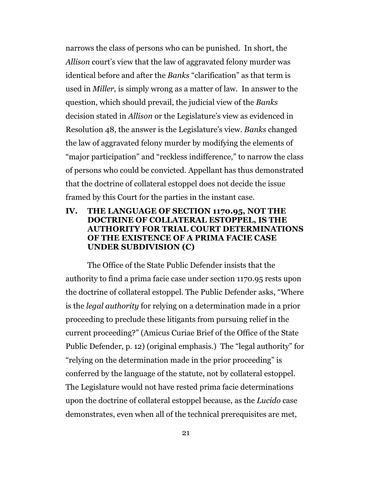narrows the class of persons who can be punished. In short, the *Allison* court's view that the law of aggravated felony murder was identical before and after the *Banks* "clarification" as that term is used in *Miller,* is simply wrong as a matter of law. In answer to the question, which should prevail, the judicial view of the *Banks* decision stated in *Allison* or the Legislature's view as evidenced in Resolution 48, the answer is the Legislature's view. *Banks* changed the law of aggravated felony murder by modifying the elements of "major participation" and "reckless indifference," to narrow the class of persons who could be convicted. Appellant has thus demonstrated that the doctrine of collateral estoppel does not decide the issue framed by this Court for the parties in the instant case.

## **IV. THE LANGUAGE OF SECTION 1170.95, NOT THE DOCTRINE OF COLLATERAL ESTOPPEL, IS THE AUTHORITY FOR TRIAL COURT DETERMINATIONS OF THE EXISTENCE OF A PRIMA FACIE CASE UNDER SUBDIVISION (C)**

The Office of the State Public Defender insists that the authority to find a prima facie case under section 1170.95 rests upon the doctrine of collateral estoppel. The Public Defender asks, "Where is the *legal authority* for relying on a determination made in a prior proceeding to preclude these litigants from pursuing relief in the current proceeding?" (Amicus Curiae Brief of the Office of the State Public Defender, p. 12) (original emphasis.) The "legal authority" for "relying on the determination made in the prior proceeding" is conferred by the language of the statute, not by collateral estoppel. The Legislature would not have rested prima facie determinations upon the doctrine of collateral estoppel because, as the *Lucido* case demonstrates, even when all of the technical prerequisites are met,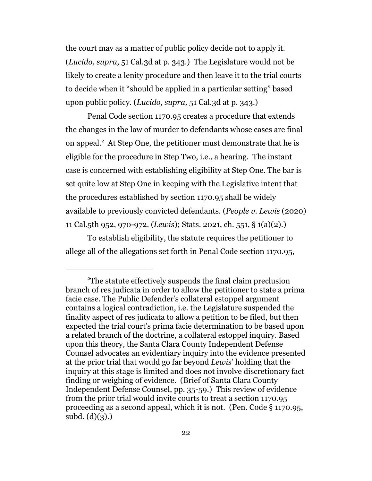the court may as a matter of public policy decide not to apply it. (*Lucido, supra*, 51 Cal.3d at p. 343.) The Legislature would not be likely to create a lenity procedure and then leave it to the trial courts to decide when it "should be applied in a particular setting" based upon public policy. (*Lucido, supra,* 51 Cal.3d at p. 343.)

Penal Code section 1170.95 creates a procedure that extends the changes in the law of murder to defendants whose cases are final on appeal.<sup>2</sup> At Step One, the petitioner must demonstrate that he is eligible for the procedure in Step Two, i.e., a hearing. The instant case is concerned with establishing eligibility at Step One. The bar is set quite low at Step One in keeping with the Legislative intent that the procedures established by section 1170.95 shall be widely available to previously convicted defendants. (*People v. Lewis* (2020) 11 Cal.5th 952, 970-972. (*Lewis*); Stats. 2021, ch. 551, § 1(a)(2).)

To establish eligibility, the statute requires the petitioner to allege all of the allegations set forth in Penal Code section 1170.95,

<sup>2</sup>The statute effectively suspends the final claim preclusion branch of res judicata in order to allow the petitioner to state a prima facie case. The Public Defender's collateral estoppel argument contains a logical contradiction, i.e. the Legislature suspended the finality aspect of res judicata to allow a petition to be filed, but then expected the trial court's prima facie determination to be based upon a related branch of the doctrine, a collateral estoppel inquiry. Based upon this theory, the Santa Clara County Independent Defense Counsel advocates an evidentiary inquiry into the evidence presented at the prior trial that would go far beyond *Lewis*' holding that the inquiry at this stage is limited and does not involve discretionary fact finding or weighing of evidence. (Brief of Santa Clara County Independent Defense Counsel, pp. 35-59.) This review of evidence from the prior trial would invite courts to treat a section 1170.95 proceeding as a second appeal, which it is not. (Pen. Code § 1170.95,  $subd.$  (d)(3).)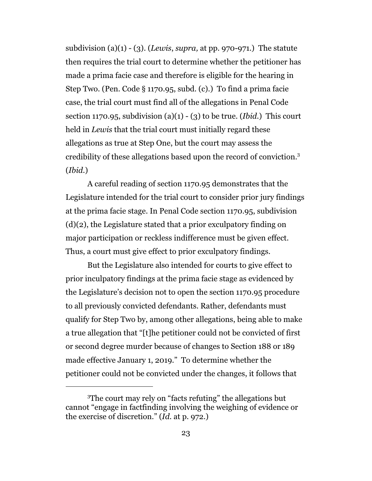subdivision (a)(1) - (3). (*Lewis*, *supra,* at pp. 970-971.) The statute then requires the trial court to determine whether the petitioner has made a prima facie case and therefore is eligible for the hearing in Step Two. (Pen. Code § 1170.95, subd. (c).) To find a prima facie case, the trial court must find all of the allegations in Penal Code section 1170.95, subdivision (a)(1) - (3) to be true. (*Ibid*.) This court held in *Lewis* that the trial court must initially regard these allegations as true at Step One, but the court may assess the credibility of these allegations based upon the record of conviction.<sup>3</sup> (*Ibid*.)

A careful reading of section 1170.95 demonstrates that the Legislature intended for the trial court to consider prior jury findings at the prima facie stage. In Penal Code section 1170.95, subdivision (d)(2), the Legislature stated that a prior exculpatory finding on major participation or reckless indifference must be given effect. Thus, a court must give effect to prior exculpatory findings.

But the Legislature also intended for courts to give effect to prior inculpatory findings at the prima facie stage as evidenced by the Legislature's decision not to open the section 1170.95 procedure to all previously convicted defendants. Rather, defendants must qualify for Step Two by, among other allegations, being able to make a true allegation that "[t]he petitioner could not be convicted of first or second degree murder because of changes to Section 188 or 189 made effective January 1, 2019." To determine whether the petitioner could not be convicted under the changes, it follows that

<sup>3</sup>The court may rely on "facts refuting" the allegations but cannot "engage in factfinding involving the weighing of evidence or the exercise of discretion." (*Id.* at p. 972.)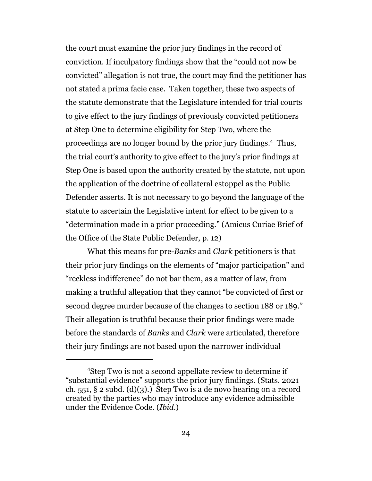the court must examine the prior jury findings in the record of conviction. If inculpatory findings show that the "could not now be convicted" allegation is not true, the court may find the petitioner has not stated a prima facie case. Taken together, these two aspects of the statute demonstrate that the Legislature intended for trial courts to give effect to the jury findings of previously convicted petitioners at Step One to determine eligibility for Step Two, where the proceedings are no longer bound by the prior jury findings.<sup>4</sup> Thus, the trial court's authority to give effect to the jury's prior findings at Step One is based upon the authority created by the statute, not upon the application of the doctrine of collateral estoppel as the Public Defender asserts. It is not necessary to go beyond the language of the statute to ascertain the Legislative intent for effect to be given to a "determination made in a prior proceeding." (Amicus Curiae Brief of the Office of the State Public Defender, p. 12)

What this means for pre-*Banks* and *Clark* petitioners is that their prior jury findings on the elements of "major participation" and "reckless indifference" do not bar them, as a matter of law, from making a truthful allegation that they cannot "be convicted of first or second degree murder because of the changes to section 188 or 189." Their allegation is truthful because their prior findings were made before the standards of *Banks* and *Clark* were articulated, therefore their jury findings are not based upon the narrower individual

<sup>4</sup> Step Two is not a second appellate review to determine if "substantial evidence" supports the prior jury findings. (Stats. 2021 ch. 551,  $\S 2$  subd. (d)(3).) Step Two is a de novo hearing on a record created by the parties who may introduce any evidence admissible under the Evidence Code. (*Ibid*.)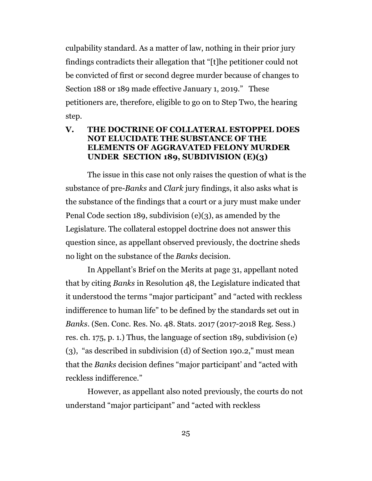culpability standard. As a matter of law, nothing in their prior jury findings contradicts their allegation that "[t]he petitioner could not be convicted of first or second degree murder because of changes to Section 188 or 189 made effective January 1, 2019." These petitioners are, therefore, eligible to go on to Step Two, the hearing step.

## **V. THE DOCTRINE OF COLLATERAL ESTOPPEL DOES NOT ELUCIDATE THE SUBSTANCE OF THE ELEMENTS OF AGGRAVATED FELONY MURDER UNDER SECTION 189, SUBDIVISION (E)(3)**

The issue in this case not only raises the question of what is the substance of pre-*Banks* and *Clark* jury findings, it also asks what is the substance of the findings that a court or a jury must make under Penal Code section 189, subdivision (e)(3), as amended by the Legislature. The collateral estoppel doctrine does not answer this question since, as appellant observed previously, the doctrine sheds no light on the substance of the *Banks* decision.

In Appellant's Brief on the Merits at page 31, appellant noted that by citing *Banks* in Resolution 48, the Legislature indicated that it understood the terms "major participant" and "acted with reckless indifference to human life" to be defined by the standards set out in *Banks*. (Sen. Conc. Res. No. 48. Stats. 2017 (2017-2018 Reg. Sess.) res. ch. 175, p. 1.) Thus, the language of section 189, subdivision (e) (3), "as described in subdivision (d) of Section 190.2," must mean that the *Banks* decision defines "major participant' and "acted with reckless indifference."

However, as appellant also noted previously, the courts do not understand "major participant" and "acted with reckless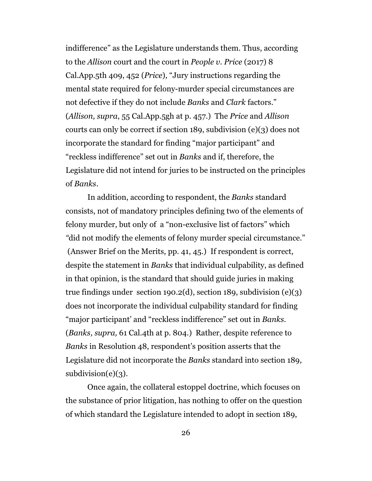indifference" as the Legislature understands them. Thus, according to the *Allison* court and the court in *People v. Price* (2017) 8 Cal.App.5th 409, 452 (*Price*), "Jury instructions regarding the mental state required for felony-murder special circumstances are not defective if they do not include *Banks* and *Clark* factors." (*Allison, supra*, 55 Cal.App.5gh at p. 457.) The *Price* and *Allison* courts can only be correct if section 189, subdivision (e)(3) does not incorporate the standard for finding "major participant" and "reckless indifference" set out in *Banks* and if, therefore, the Legislature did not intend for juries to be instructed on the principles of *Banks*.

In addition, according to respondent, the *Banks* standard consists, not of mandatory principles defining two of the elements of felony murder, but only of a "non-exclusive list of factors" which *"*did not modify the elements of felony murder special circumstance." (Answer Brief on the Merits, pp. 41, 45.) If respondent is correct, despite the statement in *Banks* that individual culpability, as defined in that opinion, is the standard that should guide juries in making true findings under section 190.2(d), section 189, subdivision  $(e)(3)$ does not incorporate the individual culpability standard for finding "major participant' and "reckless indifference" set out in *Banks.*  (*Banks, supra,* 61 Cal.4th at p. 804.) Rather, despite reference to *Banks* in Resolution 48, respondent's position asserts that the Legislature did not incorporate the *Banks* standard into section 189,  $subdivision(e)(3)$ .

Once again, the collateral estoppel doctrine, which focuses on the substance of prior litigation, has nothing to offer on the question of which standard the Legislature intended to adopt in section 189,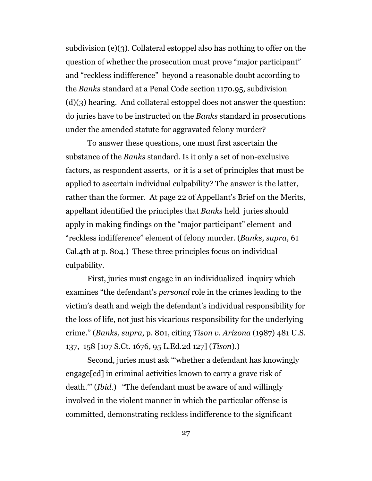subdivision (e)(3). Collateral estoppel also has nothing to offer on the question of whether the prosecution must prove "major participant" and "reckless indifference" beyond a reasonable doubt according to the *Banks* standard at a Penal Code section 1170.95, subdivision  $(d)(3)$  hearing. And collateral estoppel does not answer the question: do juries have to be instructed on the *Banks* standard in prosecutions under the amended statute for aggravated felony murder?

To answer these questions, one must first ascertain the substance of the *Banks* standard. Is it only a set of non-exclusive factors, as respondent asserts, or it is a set of principles that must be applied to ascertain individual culpability? The answer is the latter, rather than the former. At page 22 of Appellant's Brief on the Merits, appellant identified the principles that *Banks* held juries should apply in making findings on the "major participant" element and "reckless indifference" element of felony murder. (*Banks, supra*, 61 Cal.4th at p. 804.) These three principles focus on individual culpability.

First, juries must engage in an individualized inquiry which examines "the defendant's *personal* role in the crimes leading to the victim's death and weigh the defendant's individual responsibility for the loss of life, not just his vicarious responsibility for the underlying crime." (*Banks, supra*, p. 801, citing *Tison v. Arizona* (1987) 481 U.S. 137, 158 [107 S.Ct. 1676, 95 L.Ed.2d 127] (*Tison*).)

Second, juries must ask "'whether a defendant has knowingly engage[ed] in criminal activities known to carry a grave risk of death.'" (*Ibid*.) "The defendant must be aware of and willingly involved in the violent manner in which the particular offense is committed, demonstrating reckless indifference to the significant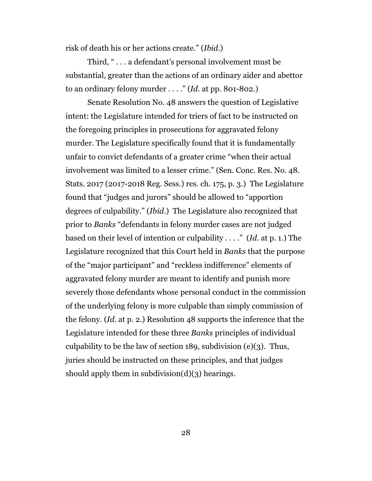risk of death his or her actions create." (*Ibid*.)

Third, " . . . a defendant's personal involvement must be substantial, greater than the actions of an ordinary aider and abettor to an ordinary felony murder . . . ." (*Id*. at pp. 801-802.)

Senate Resolution No. 48 answers the question of Legislative intent: the Legislature intended for triers of fact to be instructed on the foregoing principles in prosecutions for aggravated felony murder. The Legislature specifically found that it is fundamentally unfair to convict defendants of a greater crime "when their actual involvement was limited to a lesser crime." (Sen. Conc. Res. No. 48. Stats. 2017 (2017-2018 Reg. Sess.) res. ch. 175, p. 3.) The Legislature found that "judges and jurors" should be allowed to "apportion degrees of culpability." (*Ibid*.) The Legislature also recognized that prior to *Banks* "defendants in felony murder cases are not judged based on their level of intention or culpability . . . ." (*Id*. at p. 1.) The Legislature recognized that this Court held in *Banks* that the purpose of the "major participant" and "reckless indifference" elements of aggravated felony murder are meant to identify and punish more severely those defendants whose personal conduct in the commission of the underlying felony is more culpable than simply commission of the felony. (*Id*. at p. 2.) Resolution 48 supports the inference that the Legislature intended for these three *Banks* principles of individual culpability to be the law of section 189, subdivision (e)(3). Thus, juries should be instructed on these principles, and that judges should apply them in subdivision $(d)(3)$  hearings.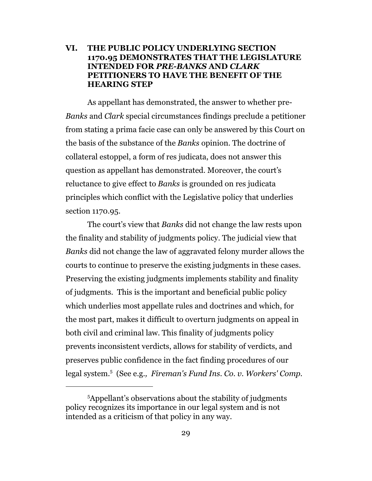## **VI. THE PUBLIC POLICY UNDERLYING SECTION 1170.95 DEMONSTRATES THAT THE LEGISLATURE INTENDED FOR** *PRE-BANKS* **AND** *CLARK*  **PETITIONERS TO HAVE THE BENEFIT OF THE HEARING STEP**

As appellant has demonstrated, the answer to whether pre-*Banks* and *Clark* special circumstances findings preclude a petitioner from stating a prima facie case can only be answered by this Court on the basis of the substance of the *Banks* opinion. The doctrine of collateral estoppel, a form of res judicata, does not answer this question as appellant has demonstrated. Moreover, the court's reluctance to give effect to *Banks* is grounded on res judicata principles which conflict with the Legislative policy that underlies section 1170.95.

The court's view that *Banks* did not change the law rests upon the finality and stability of judgments policy. The judicial view that *Banks* did not change the law of aggravated felony murder allows the courts to continue to preserve the existing judgments in these cases. Preserving the existing judgments implements stability and finality of judgments. This is the important and beneficial public policy which underlies most appellate rules and doctrines and which, for the most part, makes it difficult to overturn judgments on appeal in both civil and criminal law. This finality of judgments policy prevents inconsistent verdicts, allows for stability of verdicts, and preserves public confidence in the fact finding procedures of our legal system.<sup>5</sup> (See e.g.*, Fireman's Fund Ins. Co. v. Workers' Comp.*

<sup>5</sup>Appellant's observations about the stability of judgments policy recognizes its importance in our legal system and is not intended as a criticism of that policy in any way.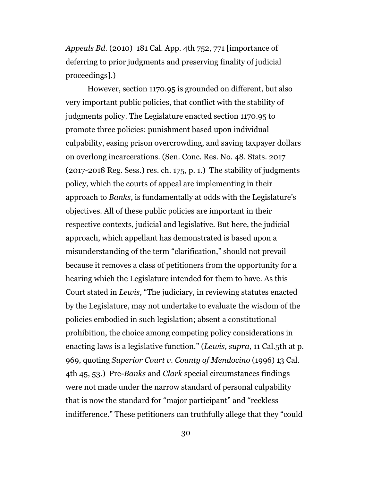*Appeals Bd.* (2010) 181 Cal. App. 4th 752, 771 [importance of deferring to prior judgments and preserving finality of judicial proceedings].)

However, section 1170.95 is grounded on different, but also very important public policies, that conflict with the stability of judgments policy. The Legislature enacted section 1170.95 to promote three policies: punishment based upon individual culpability, easing prison overcrowding, and saving taxpayer dollars on overlong incarcerations. (Sen. Conc. Res. No. 48. Stats. 2017 (2017-2018 Reg. Sess.) res. ch. 175, p. 1.) The stability of judgments policy, which the courts of appeal are implementing in their approach to *Banks*, is fundamentally at odds with the Legislature's objectives. All of these public policies are important in their respective contexts, judicial and legislative. But here, the judicial approach, which appellant has demonstrated is based upon a misunderstanding of the term "clarification," should not prevail because it removes a class of petitioners from the opportunity for a hearing which the Legislature intended for them to have. As this Court stated in *Lewis*, "The judiciary, in reviewing statutes enacted by the Legislature, may not undertake to evaluate the wisdom of the policies embodied in such legislation; absent a constitutional prohibition, the choice among competing policy considerations in enacting laws is a legislative function." (*Lewis, supra,* 11 Cal.5th at p. 969, quoting *Superior Court v. County of Mendocino* (1996) 13 Cal. 4th 45, 53.) Pre-*Banks* and *Clark* special circumstances findings were not made under the narrow standard of personal culpability that is now the standard for "major participant" and "reckless indifference." These petitioners can truthfully allege that they "could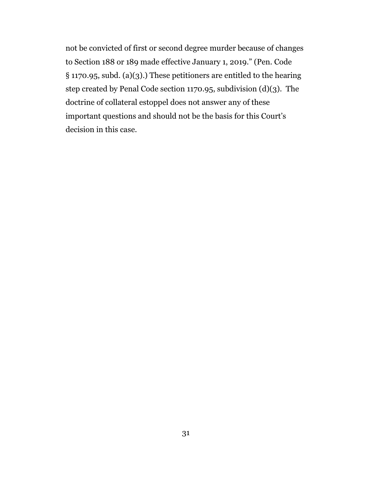not be convicted of first or second degree murder because of changes to Section 188 or 189 made effective January 1, 2019." (Pen. Code § 1170.95, subd. (a)(3).) These petitioners are entitled to the hearing step created by Penal Code section 1170.95, subdivision (d)(3). The doctrine of collateral estoppel does not answer any of these important questions and should not be the basis for this Court's decision in this case.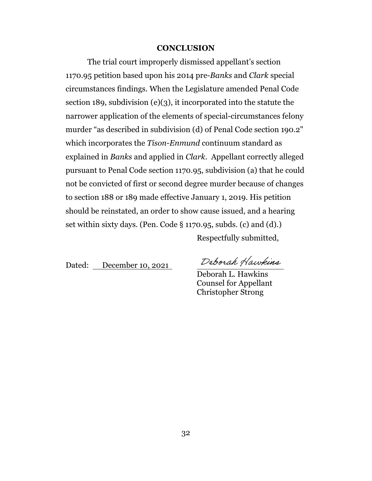#### **CONCLUSION**

The trial court improperly dismissed appellant's section 1170.95 petition based upon his 2014 pre-*Banks* and *Clark* special circumstances findings. When the Legislature amended Penal Code section 189, subdivision (e)(3), it incorporated into the statute the narrower application of the elements of special-circumstances felony murder "as described in subdivision (d) of Penal Code section 190.2" which incorporates the *Tison-Enmund* continuum standard as explained in *Banks* and applied in *Clark*. Appellant correctly alleged pursuant to Penal Code section 1170.95, subdivision (a) that he could not be convicted of first or second degree murder because of changes to section 188 or 189 made effective January 1, 2019. His petition should be reinstated, an order to show cause issued, and a hearing set within sixty days. (Pen. Code § 1170.95, subds. (c) and (d).) Respectfully submitted,

Dated: December 10, 2021

Deborah Hawkins

Deborah L. Hawkins Counsel for Appellant Christopher Strong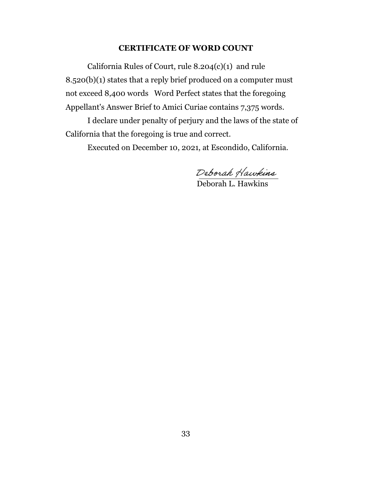#### **CERTIFICATE OF WORD COUNT**

California Rules of Court, rule 8.204(c)(1) and rule 8.520(b)(1) states that a reply brief produced on a computer must not exceed 8,400 words Word Perfect states that the foregoing Appellant's Answer Brief to Amici Curiae contains 7,375 words.

I declare under penalty of perjury and the laws of the state of California that the foregoing is true and correct.

Executed on December 10, 2021, at Escondido, California.

 $\epsilon$ 

Deborah L. Hawkins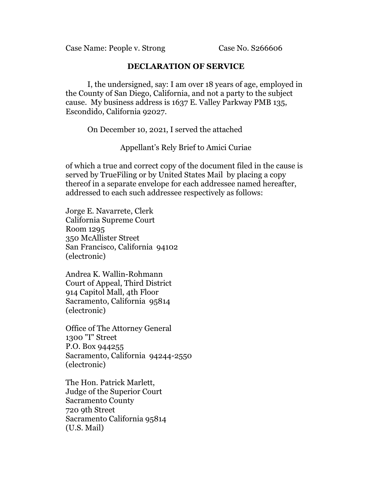Case Name: People v. Strong Case No. S266606

## **DECLARATION OF SERVICE**

I, the undersigned, say: I am over 18 years of age, employed in the County of San Diego, California, and not a party to the subject cause. My business address is 1637 E. Valley Parkway PMB 135, Escondido, California 92027.

On December 10, 2021, I served the attached

Appellant's Rely Brief to Amici Curiae

of which a true and correct copy of the document filed in the cause is served by TrueFiling or by United States Mail by placing a copy thereof in a separate envelope for each addressee named hereafter, addressed to each such addressee respectively as follows:

Jorge E. Navarrete, Clerk California Supreme Court Room 1295 350 McAllister Street San Francisco, California 94102 (electronic)

Andrea K. Wallin-Rohmann Court of Appeal, Third District 914 Capitol Mall, 4th Floor Sacramento, California 95814 (electronic)

Office of The Attorney General 1300 "I" Street P.O. Box 944255 Sacramento, California 94244-2550 (electronic)

The Hon. Patrick Marlett, Judge of the Superior Court Sacramento County 720 9th Street Sacramento California 95814 (U.S. Mail)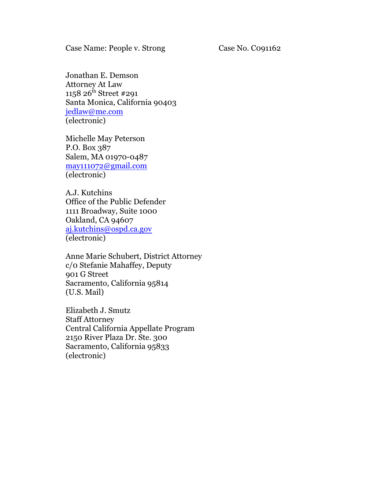Jonathan E. Demson Attorney At Law 1158 26<sup>th</sup> Street #291 Santa Monica, California 90403 [jedlaw@me.com](mailto:jedlaw@me.com) (electronic)

Michelle May Peterson P.O. Box 387 Salem, MA 01970-0487 [may111072@gmail.com](mailto:may111072@gmail.com) (electronic)

A.J. Kutchins Office of the Public Defender 1111 Broadway, Suite 1000 Oakland, CA 94607 [aj.kutchins@ospd.ca.gov](mailto:aj.kutchins@ospd.ca.gov) (electronic)

Anne Marie Schubert, District Attorney c/0 Stefanie Mahaffey, Deputy 901 G Street Sacramento, California 95814 (U.S. Mail)

Elizabeth J. Smutz Staff Attorney Central California Appellate Program 2150 River Plaza Dr. Ste. 300 Sacramento, California 95833 (electronic)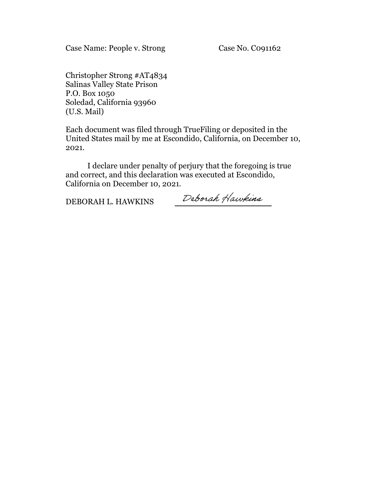Case Name: People v. Strong Case No. Co91162

Christopher Strong #AT4834 Salinas Valley State Prison P.O. Box 1050 Soledad, California 93960 (U.S. Mail)

Each document was filed through TrueFiling or deposited in the United States mail by me at Escondido, California, on December 10, 2021.

I declare under penalty of perjury that the foregoing is true and correct, and this declaration was executed at Escondido, California on December 10, 2021.

DEBORAH L. HAWKINS

Deborah Hawkins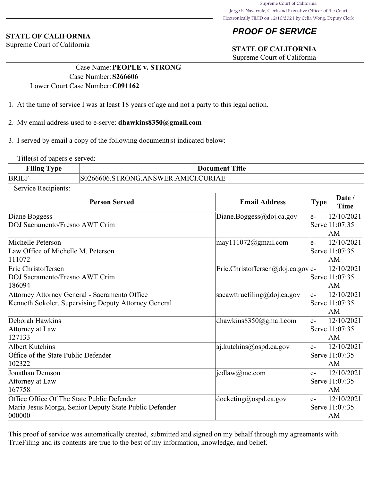# *PROOF OF SERVICE*

# **STATE OF CALIFORNIA**

Supreme Court of California

## **STATE OF CALIFORNIA**

Supreme Court of California

## Case Name:**PEOPLE v. STRONG** Case Number:**S266606** Lower Court Case Number:**C091162**

- 1. At the time of service I was at least 18 years of age and not a party to this legal action.
- 2. My email address used to e-serve: **dhawkins8350@gmail.com**
- 3. I served by email a copy of the following document(s) indicated below:

Title(s) of papers e-served:

| <b>Filing Type</b> | <b>Document Title</b>               |
|--------------------|-------------------------------------|
| <b>BRIEF</b>       | S0266606.STRONG.ANSWER.AMICI.CURIAE |

Service Recipients:

| <b>Person Served</b>                                                                                           | <b>Email Address</b>                                        | <b>Type</b> | Date /<br><b>Time</b>                |
|----------------------------------------------------------------------------------------------------------------|-------------------------------------------------------------|-------------|--------------------------------------|
| Diane Boggess<br>DOJ Sacramento/Fresno AWT Crim                                                                | Diane.Boggess@doj.ca.gov                                    | $e-$        | 12/10/2021<br>Serve 11:07:35<br>AM   |
| Michelle Peterson<br>Law Office of Michelle M. Peterson<br>111072                                              | $\text{may}111072$ @gmail.com                               | le-         | 12/10/2021<br>Serve 1 1:07:35<br>lАM |
| Eric Christoffersen<br>DOJ Sacramento/Fresno AWT Crim<br>186094                                                | $\text{Eric.Christoffersen} @ \text{doj.ca.gov} \text{le-}$ |             | 12/10/2021<br>Serve 11:07:35<br>AM   |
| Attorney Attorney General - Sacramento Office<br>Kenneth Sokoler, Supervising Deputy Attorney General          | sacawttruefiling@doj.ca.gov                                 | $e-$        | 12/10/2021<br>Serve 11:07:35<br>AM   |
| Deborah Hawkins<br>Attorney at Law<br>127133                                                                   | dhawkins $8350$ @gmail.com                                  | le-         | 12/10/2021<br>Serve 1 1:07:35<br>AM  |
| Albert Kutchins<br>Office of the State Public Defender<br>102322                                               | $ a $ . kutchins @ ospd.ca.gov                              | le-         | 12/10/2021<br>Servel11:07:35<br>AM   |
| Jonathan Demson<br>Attorney at Law<br>167758                                                                   | $\text{jedlaw}(a)$ me.com                                   | le-         | 12/10/2021<br>Serve 11:07:35<br>lАM  |
| Office Office Of The State Public Defender<br>Maria Jesus Morga, Senior Deputy State Public Defender<br>000000 | $ $ docketing@ospd.ca.gov                                   | le-         | 12/10/2021<br>Serve 11:07:35<br>AM   |

This proof of service was automatically created, submitted and signed on my behalf through my agreements with TrueFiling and its contents are true to the best of my information, knowledge, and belief.